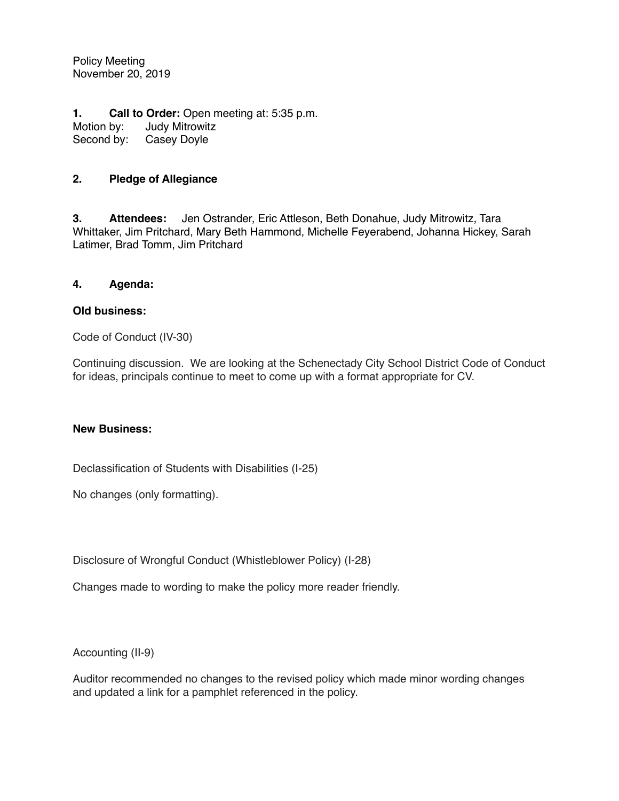Policy Meeting November 20, 2019

**1. Call to Order:** Open meeting at: 5:35 p.m. Motion by: Judy Mitrowitz<br>Second by: Casey Doyle Casey Doyle

## **2. Pledge of Allegiance**

**3. Attendees:** Jen Ostrander, Eric Attleson, Beth Donahue, Judy Mitrowitz, Tara Whittaker, Jim Pritchard, Mary Beth Hammond, Michelle Feyerabend, Johanna Hickey, Sarah Latimer, Brad Tomm, Jim Pritchard

## **4. Agenda:**

## **Old business:**

Code of Conduct (IV-30)

Continuing discussion. We are looking at the Schenectady City School District Code of Conduct for ideas, principals continue to meet to come up with a format appropriate for CV.

## **New Business:**

Declassification of Students with Disabilities (I-25)

No changes (only formatting).

Disclosure of Wrongful Conduct (Whistleblower Policy) (I-28)

Changes made to wording to make the policy more reader friendly.

Accounting (II-9)

Auditor recommended no changes to the revised policy which made minor wording changes and updated a link for a pamphlet referenced in the policy.